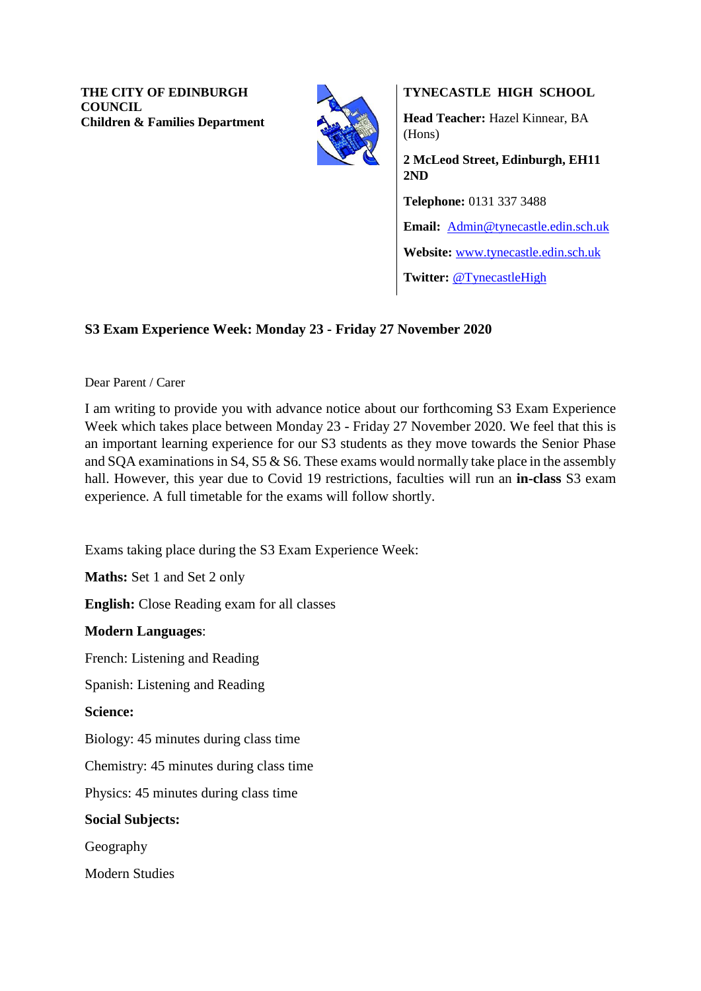**THE CITY OF EDINBURGH COUNCIL Children & Families Department**



**TYNECASTLE HIGH SCHOOL**

**Head Teacher:** Hazel Kinnear, BA (Hons)

**2 McLeod Street, Edinburgh, EH11 2ND Telephone:** 0131 337 3488 **Email:** [Admin@tynecastle.edin.sch.uk](mailto:Admin@tynecastle.edin.sch.uk) **Website:** [www.tynecastle.edin.sch.uk](http://www.tynecastle.edin.sch.uk/) **Twitter:** [@TynecastleHigh](https://twitter.com/TynecastleHigh)

# **S3 Exam Experience Week: Monday 23 - Friday 27 November 2020**

### Dear Parent / Carer

I am writing to provide you with advance notice about our forthcoming S3 Exam Experience Week which takes place between Monday 23 - Friday 27 November 2020. We feel that this is an important learning experience for our S3 students as they move towards the Senior Phase and SQA examinations in S4, S5 & S6. These exams would normally take place in the assembly hall. However, this year due to Covid 19 restrictions, faculties will run an **in-class** S3 exam experience. A full timetable for the exams will follow shortly.

Exams taking place during the S3 Exam Experience Week:

**Maths:** Set 1 and Set 2 only

**English:** Close Reading exam for all classes

### **Modern Languages**:

French: Listening and Reading

Spanish: Listening and Reading

### **Science:**

Biology: 45 minutes during class time

Chemistry: 45 minutes during class time

Physics: 45 minutes during class time

#### **Social Subjects:**

Geography

Modern Studies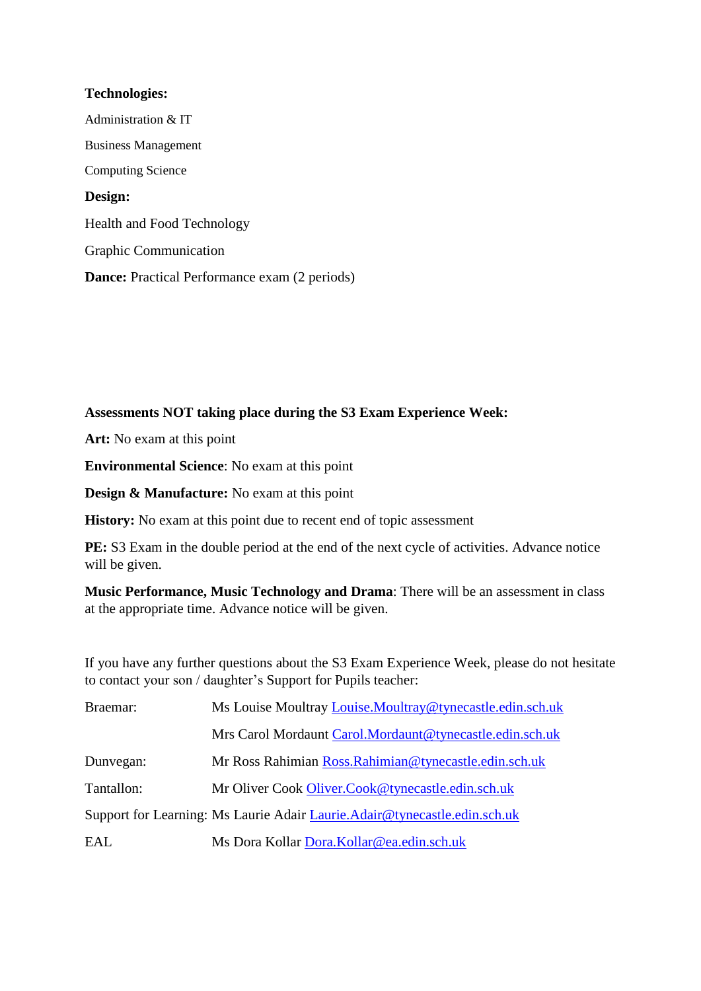### **Technologies:**

Administration & IT Business Management Computing Science **Design:** Health and Food Technology Graphic Communication **Dance:** Practical Performance exam (2 periods)

## **Assessments NOT taking place during the S3 Exam Experience Week:**

**Art:** No exam at this point

**Environmental Science**: No exam at this point

**Design & Manufacture:** No exam at this point

**History:** No exam at this point due to recent end of topic assessment

**PE:** S3 Exam in the double period at the end of the next cycle of activities. Advance notice will be given.

**Music Performance, Music Technology and Drama**: There will be an assessment in class at the appropriate time. Advance notice will be given.

If you have any further questions about the S3 Exam Experience Week, please do not hesitate to contact your son / daughter's Support for Pupils teacher:

| Braemar:   | Ms Louise Moultray Louise. Moultray @tynecastle.edin.sch.uk                 |
|------------|-----------------------------------------------------------------------------|
|            | Mrs Carol Mordaunt Carol. Mordaunt @tynecastle.edin.sch.uk                  |
| Dunvegan:  | Mr Ross Rahimian Ross. Rahimian@tynecastle.edin.sch.uk                      |
| Tantallon: | Mr Oliver Cook Oliver.Cook@tynecastle.edin.sch.uk                           |
|            | Support for Learning: Ms Laurie Adair Laurie. Adair @tynecastle.edin.sch.uk |
| EAL        | Ms Dora Kollar Dora.Kollar@ea.edin.sch.uk                                   |